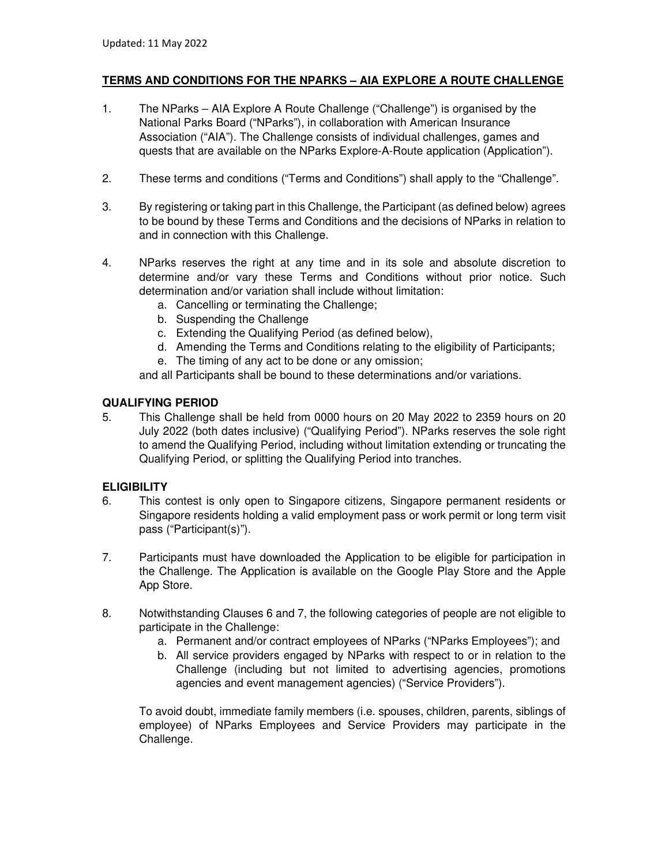# **TERMS AND CONDITIONS FOR THE NPARKS – AIA EXPLORE A ROUTE CHALLENGE**

- 1. The NParks AIA Explore A Route Challenge ("Challenge") is organised by the National Parks Board ("NParks"), in collaboration with American Insurance Association ("AIA"). The Challenge consists of individual challenges, games and quests that are available on the NParks Explore-A-Route application (Application").
- 2. These terms and conditions ("Terms and Conditions") shall apply to the "Challenge".
- 3. By registering or taking part in this Challenge, the Participant (as defined below) agrees to be bound by these Terms and Conditions and the decisions of NParks in relation to and in connection with this Challenge.
- 4. NParks reserves the right at any time and in its sole and absolute discretion to determine and/or vary these Terms and Conditions without prior notice. Such determination and/or variation shall include without limitation:
	- a. Cancelling or terminating the Challenge;
	- b. Suspending the Challenge
	- c. Extending the Qualifying Period (as defined below),
	- d. Amending the Terms and Conditions relating to the eligibility of Participants;
	- e. The timing of any act to be done or any omission;

and all Participants shall be bound to these determinations and/or variations.

### **QUALIFYING PERIOD**

5. This Challenge shall be held from 0000 hours on 20 May 2022 to 2359 hours on 20 July 2022 (both dates inclusive) ("Qualifying Period"). NParks reserves the sole right to amend the Qualifying Period, including without limitation extending or truncating the Qualifying Period, or splitting the Qualifying Period into tranches.

# **ELIGIBILITY**

- 6. This contest is only open to Singapore citizens, Singapore permanent residents or Singapore residents holding a valid employment pass or work permit or long term visit pass ("Participant(s)").
- 7. Participants must have downloaded the Application to be eligible for participation in the Challenge. The Application is available on the Google Play Store and the Apple App Store.
- 8. Notwithstanding Clauses 6 and 7, the following categories of people are not eligible to participate in the Challenge:
	- a. Permanent and/or contract employees of NParks ("NParks Employees"); and
	- b. All service providers engaged by NParks with respect to or in relation to the Challenge (including but not limited to advertising agencies, promotions agencies and event management agencies) ("Service Providers").

To avoid doubt, immediate family members (i.e. spouses, children, parents, siblings of employee) of NParks Employees and Service Providers may participate in the Challenge.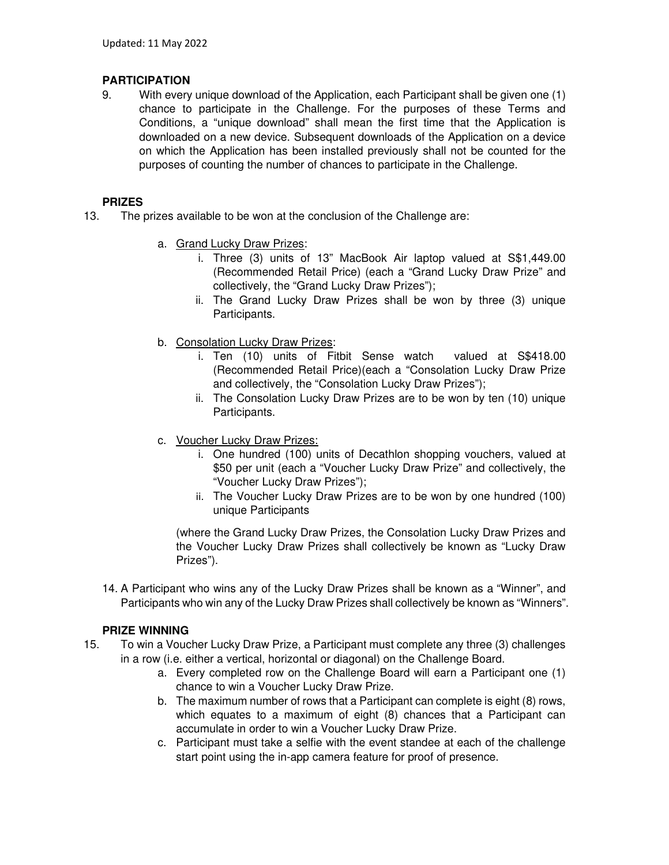# **PARTICIPATION**

9. With every unique download of the Application, each Participant shall be given one (1) chance to participate in the Challenge. For the purposes of these Terms and Conditions, a "unique download" shall mean the first time that the Application is downloaded on a new device. Subsequent downloads of the Application on a device on which the Application has been installed previously shall not be counted for the purposes of counting the number of chances to participate in the Challenge.

## **PRIZES**

- 13. The prizes available to be won at the conclusion of the Challenge are:
	- a. Grand Lucky Draw Prizes:
		- i. Three (3) units of 13" MacBook Air laptop valued at S\$1,449.00 (Recommended Retail Price) (each a "Grand Lucky Draw Prize" and collectively, the "Grand Lucky Draw Prizes");
		- ii. The Grand Lucky Draw Prizes shall be won by three (3) unique Participants.
	- b. Consolation Lucky Draw Prizes:
		- i. Ten (10) units of Fitbit Sense watch valued at S\$418.00 (Recommended Retail Price)(each a "Consolation Lucky Draw Prize and collectively, the "Consolation Lucky Draw Prizes");
		- ii. The Consolation Lucky Draw Prizes are to be won by ten (10) unique Participants.
	- c. Voucher Lucky Draw Prizes:
		- i. One hundred (100) units of Decathlon shopping vouchers, valued at \$50 per unit (each a "Voucher Lucky Draw Prize" and collectively, the "Voucher Lucky Draw Prizes");
		- ii. The Voucher Lucky Draw Prizes are to be won by one hundred (100) unique Participants

(where the Grand Lucky Draw Prizes, the Consolation Lucky Draw Prizes and the Voucher Lucky Draw Prizes shall collectively be known as "Lucky Draw Prizes").

14. A Participant who wins any of the Lucky Draw Prizes shall be known as a "Winner", and Participants who win any of the Lucky Draw Prizes shall collectively be known as "Winners".

# **PRIZE WINNING**

- 15. To win a Voucher Lucky Draw Prize, a Participant must complete any three (3) challenges in a row (i.e. either a vertical, horizontal or diagonal) on the Challenge Board.
	- a. Every completed row on the Challenge Board will earn a Participant one (1) chance to win a Voucher Lucky Draw Prize.
	- b. The maximum number of rows that a Participant can complete is eight (8) rows, which equates to a maximum of eight (8) chances that a Participant can accumulate in order to win a Voucher Lucky Draw Prize.
	- c. Participant must take a selfie with the event standee at each of the challenge start point using the in-app camera feature for proof of presence.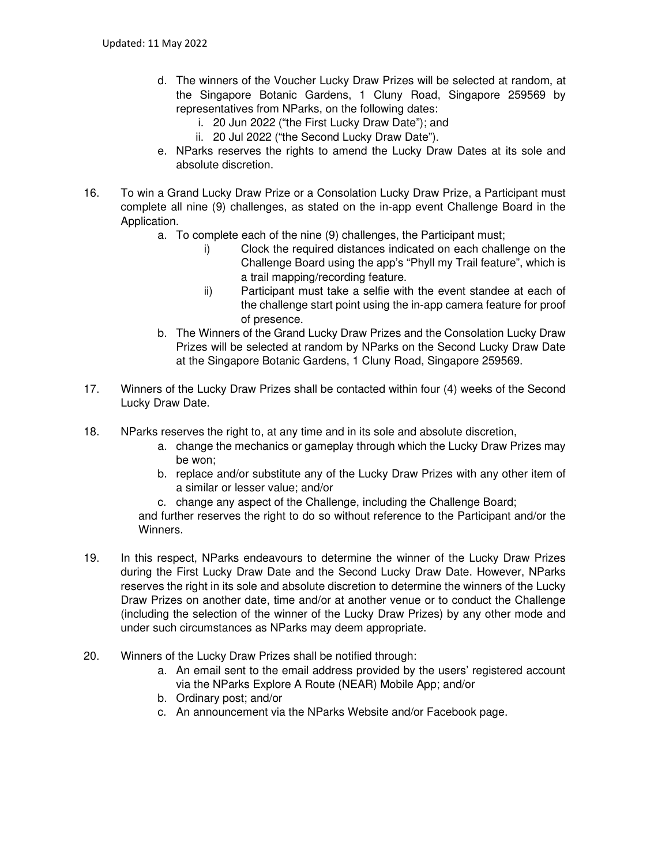- d. The winners of the Voucher Lucky Draw Prizes will be selected at random, at the Singapore Botanic Gardens, 1 Cluny Road, Singapore 259569 by representatives from NParks, on the following dates:
	- i. 20 Jun 2022 ("the First Lucky Draw Date"); and
	- ii. 20 Jul 2022 ("the Second Lucky Draw Date").
- e. NParks reserves the rights to amend the Lucky Draw Dates at its sole and absolute discretion.
- 16. To win a Grand Lucky Draw Prize or a Consolation Lucky Draw Prize, a Participant must complete all nine (9) challenges, as stated on the in-app event Challenge Board in the Application.
	- a. To complete each of the nine (9) challenges, the Participant must;
		- i) Clock the required distances indicated on each challenge on the Challenge Board using the app's "Phyll my Trail feature", which is a trail mapping/recording feature.
		- ii) Participant must take a selfie with the event standee at each of the challenge start point using the in-app camera feature for proof of presence.
	- b. The Winners of the Grand Lucky Draw Prizes and the Consolation Lucky Draw Prizes will be selected at random by NParks on the Second Lucky Draw Date at the Singapore Botanic Gardens, 1 Cluny Road, Singapore 259569.
- 17. Winners of the Lucky Draw Prizes shall be contacted within four (4) weeks of the Second Lucky Draw Date.
- 18. NParks reserves the right to, at any time and in its sole and absolute discretion,
	- a. change the mechanics or gameplay through which the Lucky Draw Prizes may be won;
	- b. replace and/or substitute any of the Lucky Draw Prizes with any other item of a similar or lesser value; and/or
	- c. change any aspect of the Challenge, including the Challenge Board;

and further reserves the right to do so without reference to the Participant and/or the Winners.

- 19. In this respect, NParks endeavours to determine the winner of the Lucky Draw Prizes during the First Lucky Draw Date and the Second Lucky Draw Date. However, NParks reserves the right in its sole and absolute discretion to determine the winners of the Lucky Draw Prizes on another date, time and/or at another venue or to conduct the Challenge (including the selection of the winner of the Lucky Draw Prizes) by any other mode and under such circumstances as NParks may deem appropriate.
- 20. Winners of the Lucky Draw Prizes shall be notified through:
	- a. An email sent to the email address provided by the users' registered account via the NParks Explore A Route (NEAR) Mobile App; and/or
	- b. Ordinary post; and/or
	- c. An announcement via the NParks Website and/or Facebook page.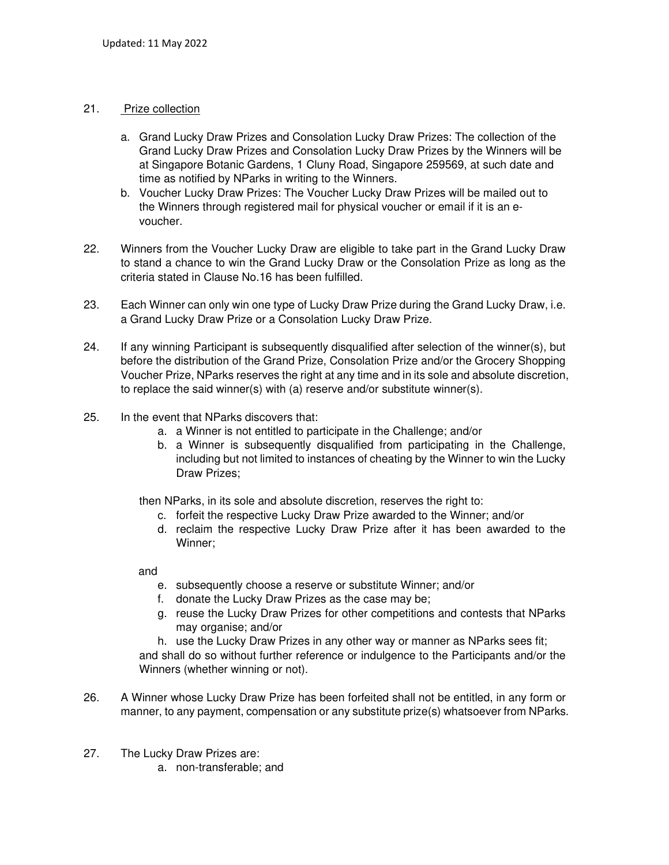### 21. Prize collection

- a. Grand Lucky Draw Prizes and Consolation Lucky Draw Prizes: The collection of the Grand Lucky Draw Prizes and Consolation Lucky Draw Prizes by the Winners will be at Singapore Botanic Gardens, 1 Cluny Road, Singapore 259569, at such date and time as notified by NParks in writing to the Winners.
- b. Voucher Lucky Draw Prizes: The Voucher Lucky Draw Prizes will be mailed out to the Winners through registered mail for physical voucher or email if it is an evoucher.
- 22. Winners from the Voucher Lucky Draw are eligible to take part in the Grand Lucky Draw to stand a chance to win the Grand Lucky Draw or the Consolation Prize as long as the criteria stated in Clause No.16 has been fulfilled.
- 23. Each Winner can only win one type of Lucky Draw Prize during the Grand Lucky Draw, i.e. a Grand Lucky Draw Prize or a Consolation Lucky Draw Prize.
- 24. If any winning Participant is subsequently disqualified after selection of the winner(s), but before the distribution of the Grand Prize, Consolation Prize and/or the Grocery Shopping Voucher Prize, NParks reserves the right at any time and in its sole and absolute discretion, to replace the said winner(s) with (a) reserve and/or substitute winner(s).
- 25. In the event that NParks discovers that:
	- a. a Winner is not entitled to participate in the Challenge; and/or
	- b. a Winner is subsequently disqualified from participating in the Challenge, including but not limited to instances of cheating by the Winner to win the Lucky Draw Prizes;

then NParks, in its sole and absolute discretion, reserves the right to:

- c. forfeit the respective Lucky Draw Prize awarded to the Winner; and/or
- d. reclaim the respective Lucky Draw Prize after it has been awarded to the Winner;

and

- e. subsequently choose a reserve or substitute Winner; and/or
- f. donate the Lucky Draw Prizes as the case may be;
- g. reuse the Lucky Draw Prizes for other competitions and contests that NParks may organise; and/or

h. use the Lucky Draw Prizes in any other way or manner as NParks sees fit; and shall do so without further reference or indulgence to the Participants and/or the Winners (whether winning or not).

- 26. A Winner whose Lucky Draw Prize has been forfeited shall not be entitled, in any form or manner, to any payment, compensation or any substitute prize(s) whatsoever from NParks.
- 27. The Lucky Draw Prizes are:
	- a. non-transferable; and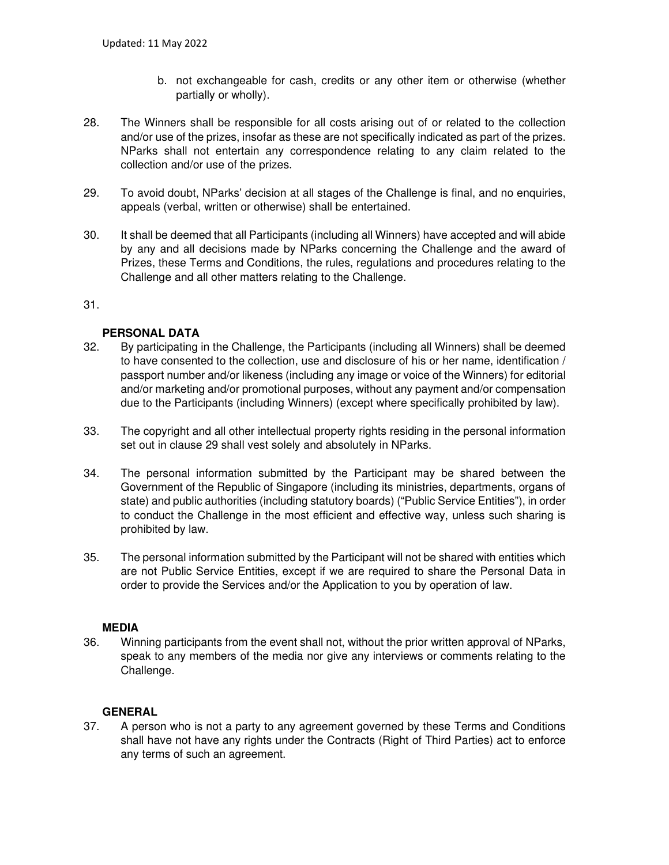- b. not exchangeable for cash, credits or any other item or otherwise (whether partially or wholly).
- 28. The Winners shall be responsible for all costs arising out of or related to the collection and/or use of the prizes, insofar as these are not specifically indicated as part of the prizes. NParks shall not entertain any correspondence relating to any claim related to the collection and/or use of the prizes.
- 29. To avoid doubt, NParks' decision at all stages of the Challenge is final, and no enquiries, appeals (verbal, written or otherwise) shall be entertained.
- 30. It shall be deemed that all Participants (including all Winners) have accepted and will abide by any and all decisions made by NParks concerning the Challenge and the award of Prizes, these Terms and Conditions, the rules, regulations and procedures relating to the Challenge and all other matters relating to the Challenge.

### 31.

### **PERSONAL DATA**

- 32. By participating in the Challenge, the Participants (including all Winners) shall be deemed to have consented to the collection, use and disclosure of his or her name, identification / passport number and/or likeness (including any image or voice of the Winners) for editorial and/or marketing and/or promotional purposes, without any payment and/or compensation due to the Participants (including Winners) (except where specifically prohibited by law).
- 33. The copyright and all other intellectual property rights residing in the personal information set out in clause 29 shall vest solely and absolutely in NParks.
- 34. The personal information submitted by the Participant may be shared between the Government of the Republic of Singapore (including its ministries, departments, organs of state) and public authorities (including statutory boards) ("Public Service Entities"), in order to conduct the Challenge in the most efficient and effective way, unless such sharing is prohibited by law.
- 35. The personal information submitted by the Participant will not be shared with entities which are not Public Service Entities, except if we are required to share the Personal Data in order to provide the Services and/or the Application to you by operation of law.

### **MEDIA**

36. Winning participants from the event shall not, without the prior written approval of NParks, speak to any members of the media nor give any interviews or comments relating to the Challenge.

### **GENERAL**

37. A person who is not a party to any agreement governed by these Terms and Conditions shall have not have any rights under the Contracts (Right of Third Parties) act to enforce any terms of such an agreement.